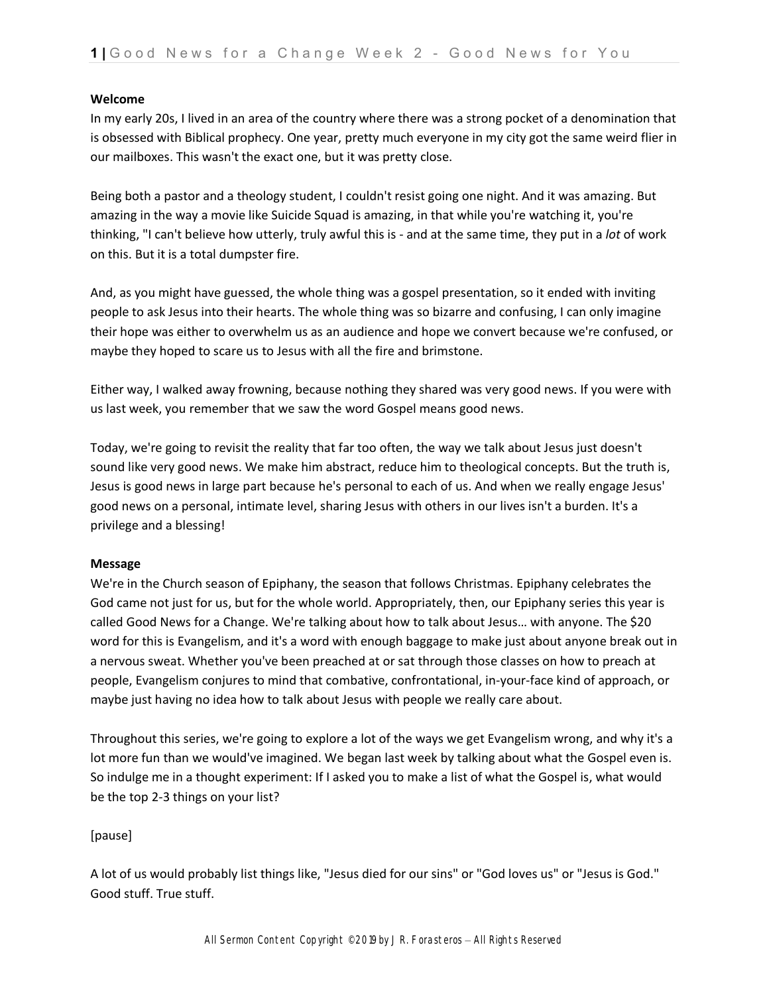### **Welcome**

In my early 20s, I lived in an area of the country where there was a strong pocket of a denomination that is obsessed with Biblical prophecy. One year, pretty much everyone in my city got the same weird flier in our mailboxes. This wasn't the exact one, but it was pretty close.

Being both a pastor and a theology student, I couldn't resist going one night. And it was amazing. But amazing in the way a movie like Suicide Squad is amazing, in that while you're watching it, you're thinking, "I can't believe how utterly, truly awful this is - and at the same time, they put in a *lot* of work on this. But it is a total dumpster fire.

And, as you might have guessed, the whole thing was a gospel presentation, so it ended with inviting people to ask Jesus into their hearts. The whole thing was so bizarre and confusing, I can only imagine their hope was either to overwhelm us as an audience and hope we convert because we're confused, or maybe they hoped to scare us to Jesus with all the fire and brimstone.

Either way, I walked away frowning, because nothing they shared was very good news. If you were with us last week, you remember that we saw the word Gospel means good news.

Today, we're going to revisit the reality that far too often, the way we talk about Jesus just doesn't sound like very good news. We make him abstract, reduce him to theological concepts. But the truth is, Jesus is good news in large part because he's personal to each of us. And when we really engage Jesus' good news on a personal, intimate level, sharing Jesus with others in our lives isn't a burden. It's a privilege and a blessing!

#### **Message**

We're in the Church season of Epiphany, the season that follows Christmas. Epiphany celebrates the God came not just for us, but for the whole world. Appropriately, then, our Epiphany series this year is called Good News for a Change. We're talking about how to talk about Jesus… with anyone. The \$20 word for this is Evangelism, and it's a word with enough baggage to make just about anyone break out in a nervous sweat. Whether you've been preached at or sat through those classes on how to preach at people, Evangelism conjures to mind that combative, confrontational, in-your-face kind of approach, or maybe just having no idea how to talk about Jesus with people we really care about.

Throughout this series, we're going to explore a lot of the ways we get Evangelism wrong, and why it's a lot more fun than we would've imagined. We began last week by talking about what the Gospel even is. So indulge me in a thought experiment: If I asked you to make a list of what the Gospel is, what would be the top 2-3 things on your list?

## [pause]

A lot of us would probably list things like, "Jesus died for our sins" or "God loves us" or "Jesus is God." Good stuff. True stuff.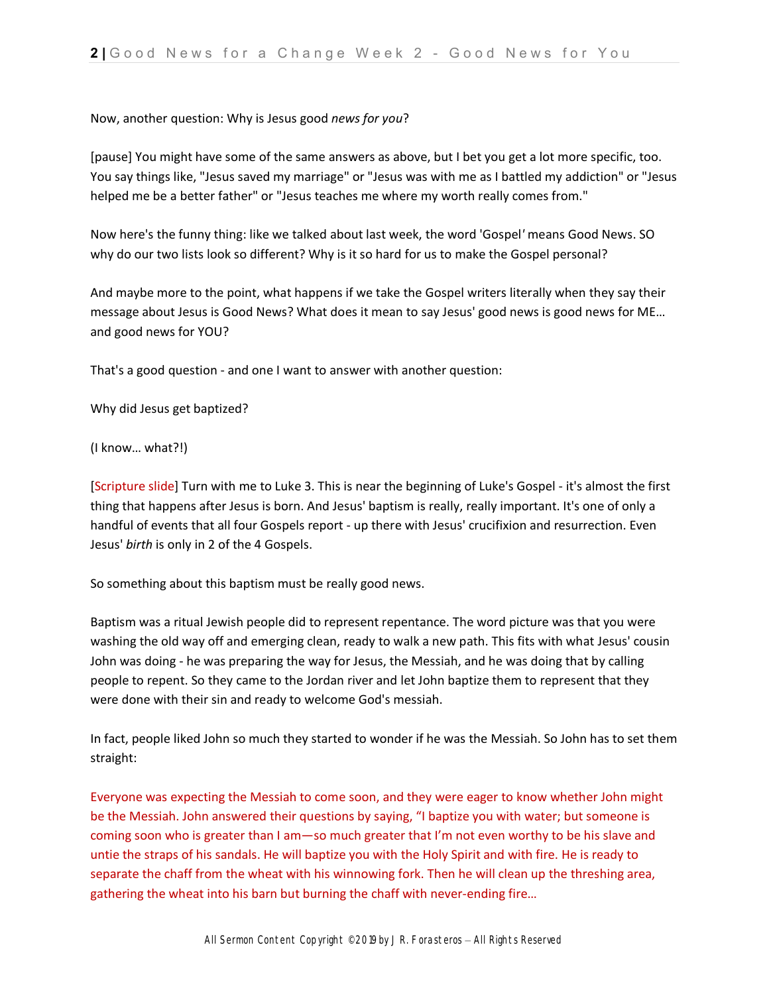# Now, another question: Why is Jesus good *news for you*?

[pause] You might have some of the same answers as above, but I bet you get a lot more specific, too. You say things like, "Jesus saved my marriage" or "Jesus was with me as I battled my addiction" or "Jesus helped me be a better father" or "Jesus teaches me where my worth really comes from."

Now here's the funny thing: like we talked about last week, the word 'Gospel*'* means Good News. SO why do our two lists look so different? Why is it so hard for us to make the Gospel personal?

And maybe more to the point, what happens if we take the Gospel writers literally when they say their message about Jesus is Good News? What does it mean to say Jesus' good news is good news for ME… and good news for YOU?

That's a good question - and one I want to answer with another question:

Why did Jesus get baptized?

(I know… what?!)

[Scripture slide] Turn with me to Luke 3. This is near the beginning of Luke's Gospel - it's almost the first thing that happens after Jesus is born. And Jesus' baptism is really, really important. It's one of only a handful of events that all four Gospels report - up there with Jesus' crucifixion and resurrection. Even Jesus' *birth* is only in 2 of the 4 Gospels.

So something about this baptism must be really good news.

Baptism was a ritual Jewish people did to represent repentance. The word picture was that you were washing the old way off and emerging clean, ready to walk a new path. This fits with what Jesus' cousin John was doing - he was preparing the way for Jesus, the Messiah, and he was doing that by calling people to repent. So they came to the Jordan river and let John baptize them to represent that they were done with their sin and ready to welcome God's messiah.

In fact, people liked John so much they started to wonder if he was the Messiah. So John has to set them straight:

Everyone was expecting the Messiah to come soon, and they were eager to know whether John might be the Messiah. John answered their questions by saying, "I baptize you with water; but someone is coming soon who is greater than I am—so much greater that I'm not even worthy to be his slave and untie the straps of his sandals. He will baptize you with the Holy Spirit and with fire. He is ready to separate the chaff from the wheat with his winnowing fork. Then he will clean up the threshing area, gathering the wheat into his barn but burning the chaff with never-ending fire…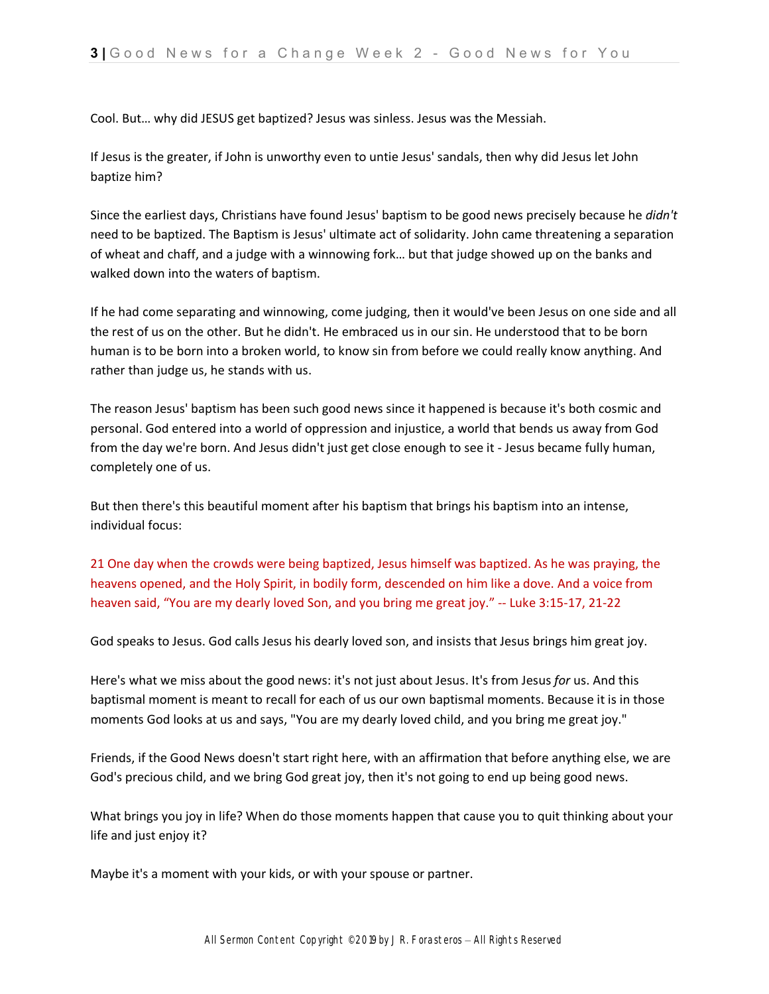Cool. But… why did JESUS get baptized? Jesus was sinless. Jesus was the Messiah.

If Jesus is the greater, if John is unworthy even to untie Jesus' sandals, then why did Jesus let John baptize him?

Since the earliest days, Christians have found Jesus' baptism to be good news precisely because he *didn't* need to be baptized. The Baptism is Jesus' ultimate act of solidarity. John came threatening a separation of wheat and chaff, and a judge with a winnowing fork… but that judge showed up on the banks and walked down into the waters of baptism.

If he had come separating and winnowing, come judging, then it would've been Jesus on one side and all the rest of us on the other. But he didn't. He embraced us in our sin. He understood that to be born human is to be born into a broken world, to know sin from before we could really know anything. And rather than judge us, he stands with us.

The reason Jesus' baptism has been such good news since it happened is because it's both cosmic and personal. God entered into a world of oppression and injustice, a world that bends us away from God from the day we're born. And Jesus didn't just get close enough to see it - Jesus became fully human, completely one of us.

But then there's this beautiful moment after his baptism that brings his baptism into an intense, individual focus:

21 One day when the crowds were being baptized, Jesus himself was baptized. As he was praying, the heavens opened, and the Holy Spirit, in bodily form, descended on him like a dove. And a voice from heaven said, "You are my dearly loved Son, and you bring me great joy." -- Luke 3:15-17, 21-22

God speaks to Jesus. God calls Jesus his dearly loved son, and insists that Jesus brings him great joy.

Here's what we miss about the good news: it's not just about Jesus. It's from Jesus *for* us. And this baptismal moment is meant to recall for each of us our own baptismal moments. Because it is in those moments God looks at us and says, "You are my dearly loved child, and you bring me great joy."

Friends, if the Good News doesn't start right here, with an affirmation that before anything else, we are God's precious child, and we bring God great joy, then it's not going to end up being good news.

What brings you joy in life? When do those moments happen that cause you to quit thinking about your life and just enjoy it?

Maybe it's a moment with your kids, or with your spouse or partner.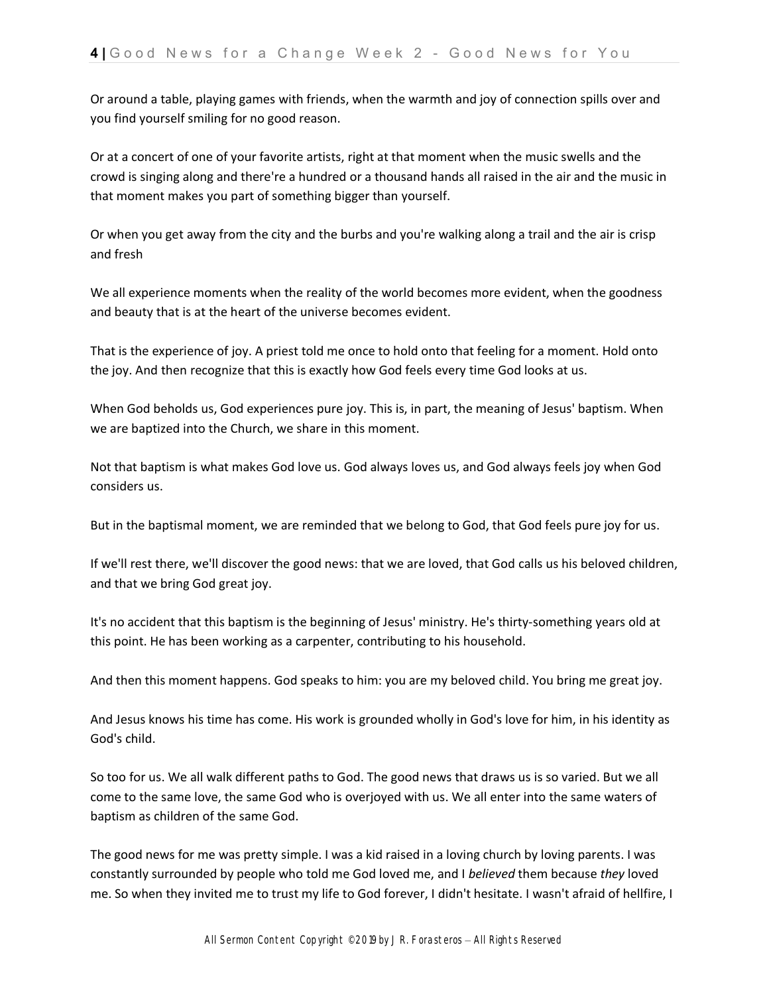Or around a table, playing games with friends, when the warmth and joy of connection spills over and you find yourself smiling for no good reason.

Or at a concert of one of your favorite artists, right at that moment when the music swells and the crowd is singing along and there're a hundred or a thousand hands all raised in the air and the music in that moment makes you part of something bigger than yourself.

Or when you get away from the city and the burbs and you're walking along a trail and the air is crisp and fresh

We all experience moments when the reality of the world becomes more evident, when the goodness and beauty that is at the heart of the universe becomes evident.

That is the experience of joy. A priest told me once to hold onto that feeling for a moment. Hold onto the joy. And then recognize that this is exactly how God feels every time God looks at us.

When God beholds us, God experiences pure joy. This is, in part, the meaning of Jesus' baptism. When we are baptized into the Church, we share in this moment.

Not that baptism is what makes God love us. God always loves us, and God always feels joy when God considers us.

But in the baptismal moment, we are reminded that we belong to God, that God feels pure joy for us.

If we'll rest there, we'll discover the good news: that we are loved, that God calls us his beloved children, and that we bring God great joy.

It's no accident that this baptism is the beginning of Jesus' ministry. He's thirty-something years old at this point. He has been working as a carpenter, contributing to his household.

And then this moment happens. God speaks to him: you are my beloved child. You bring me great joy.

And Jesus knows his time has come. His work is grounded wholly in God's love for him, in his identity as God's child.

So too for us. We all walk different paths to God. The good news that draws us is so varied. But we all come to the same love, the same God who is overjoyed with us. We all enter into the same waters of baptism as children of the same God.

The good news for me was pretty simple. I was a kid raised in a loving church by loving parents. I was constantly surrounded by people who told me God loved me, and I *believed* them because *they* loved me. So when they invited me to trust my life to God forever, I didn't hesitate. I wasn't afraid of hellfire, I